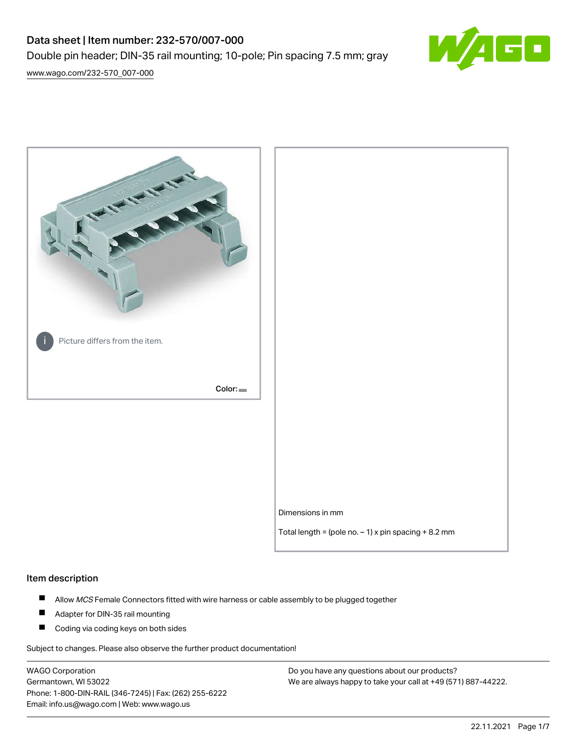# Data sheet | Item number: 232-570/007-000 Double pin header; DIN-35 rail mounting; 10-pole; Pin spacing 7.5 mm; gray



[www.wago.com/232-570\\_007-000](http://www.wago.com/232-570_007-000)



### Item description

- $\blacksquare$ Allow MCS Female Connectors fitted with wire harness or cable assembly to be plugged together
- $\blacksquare$ Adapter for DIN-35 rail mounting
- $\blacksquare$ Coding via coding keys on both sides

Subject to changes. Please also observe the further product documentation!

WAGO Corporation Germantown, WI 53022 Phone: 1-800-DIN-RAIL (346-7245) | Fax: (262) 255-6222 Email: info.us@wago.com | Web: www.wago.us

Do you have any questions about our products? We are always happy to take your call at +49 (571) 887-44222.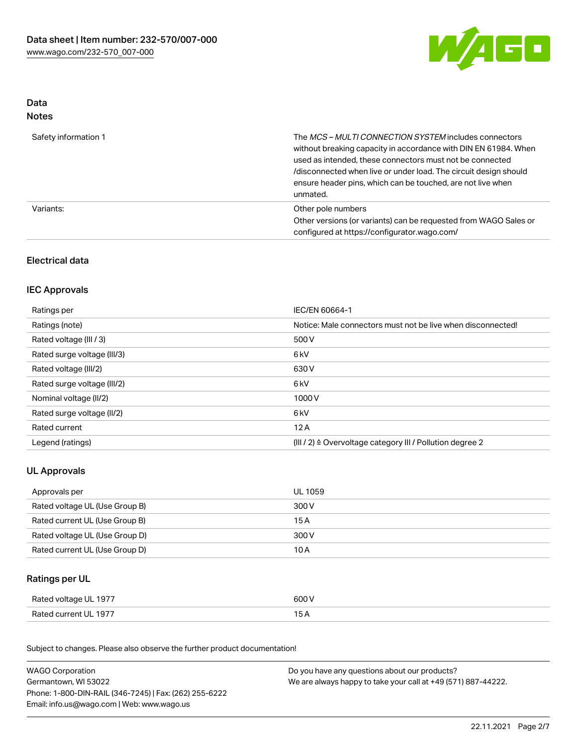

### Data Notes

| Safety information 1 | The <i>MCS – MULTI CONNECTION SYSTEM</i> includes connectors<br>without breaking capacity in accordance with DIN EN 61984. When<br>used as intended, these connectors must not be connected<br>/disconnected when live or under load. The circuit design should<br>ensure header pins, which can be touched, are not live when<br>unmated. |
|----------------------|--------------------------------------------------------------------------------------------------------------------------------------------------------------------------------------------------------------------------------------------------------------------------------------------------------------------------------------------|
| Variants:            | Other pole numbers<br>Other versions (or variants) can be requested from WAGO Sales or<br>configured at https://configurator.wago.com/                                                                                                                                                                                                     |

# Electrical data

# IEC Approvals

| Ratings per                 | IEC/EN 60664-1                                                        |
|-----------------------------|-----------------------------------------------------------------------|
| Ratings (note)              | Notice: Male connectors must not be live when disconnected!           |
| Rated voltage (III / 3)     | 500 V                                                                 |
| Rated surge voltage (III/3) | 6 <sub>kV</sub>                                                       |
| Rated voltage (III/2)       | 630 V                                                                 |
| Rated surge voltage (III/2) | 6 <sub>kV</sub>                                                       |
| Nominal voltage (II/2)      | 1000V                                                                 |
| Rated surge voltage (II/2)  | 6 <sub>kV</sub>                                                       |
| Rated current               | 12A                                                                   |
| Legend (ratings)            | $(III / 2)$ $\triangle$ Overvoltage category III / Pollution degree 2 |

# UL Approvals

| Approvals per                  | UL 1059 |
|--------------------------------|---------|
| Rated voltage UL (Use Group B) | 300 V   |
| Rated current UL (Use Group B) | 15 A    |
| Rated voltage UL (Use Group D) | 300 V   |
| Rated current UL (Use Group D) | 10 A    |

# Ratings per UL

| Rated voltage UL 1977 | 600 V |
|-----------------------|-------|
| Rated current UL 1977 |       |

Subject to changes. Please also observe the further product documentation!

| <b>WAGO Corporation</b>                                | Do you have any questions about our products?                 |  |
|--------------------------------------------------------|---------------------------------------------------------------|--|
| Germantown, WI 53022                                   | We are always happy to take your call at +49 (571) 887-44222. |  |
| Phone: 1-800-DIN-RAIL (346-7245)   Fax: (262) 255-6222 |                                                               |  |
| Email: info.us@wago.com   Web: www.wago.us             |                                                               |  |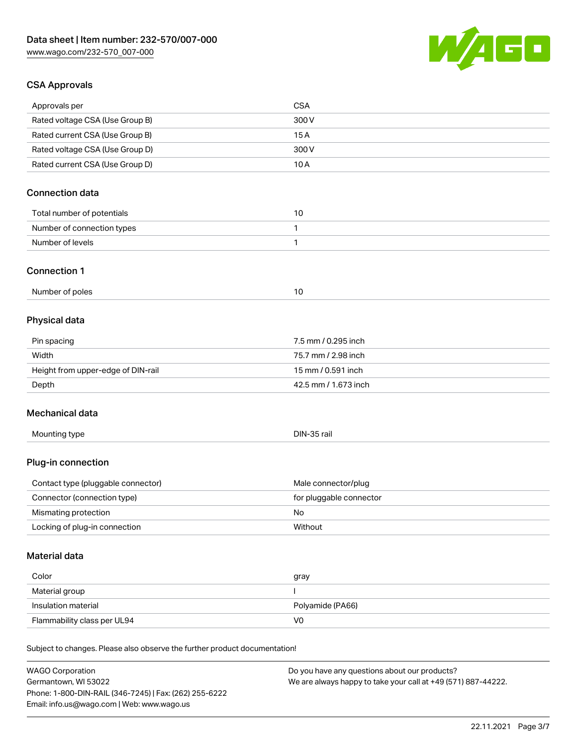

# CSA Approvals

| <b>WAGO Corporation</b>                                                    | Do you have any questions about our products? |
|----------------------------------------------------------------------------|-----------------------------------------------|
| Subject to changes. Please also observe the further product documentation! |                                               |
| Flammability class per UL94                                                | V <sub>0</sub>                                |
| Insulation material                                                        | Polyamide (PA66)                              |
| Material group                                                             | I                                             |
| Color                                                                      | gray                                          |
| Material data                                                              |                                               |
| Locking of plug-in connection                                              | Without                                       |
| Mismating protection                                                       | No                                            |
| Connector (connection type)                                                | for pluggable connector                       |
| Contact type (pluggable connector)                                         | Male connector/plug                           |
| Plug-in connection                                                         |                                               |
| Mounting type                                                              | DIN-35 rail                                   |
| Mechanical data                                                            |                                               |
| Depth                                                                      | 42.5 mm / 1.673 inch                          |
| Height from upper-edge of DIN-rail                                         | 15 mm / 0.591 inch                            |
| Width                                                                      | 75.7 mm / 2.98 inch                           |
| Pin spacing                                                                | 7.5 mm / 0.295 inch                           |
| <b>Physical data</b>                                                       |                                               |
| Number of poles                                                            | 10                                            |
| <b>Connection 1</b>                                                        |                                               |
| Number of levels                                                           | $\mathbf{1}$                                  |
| Number of connection types                                                 | 1                                             |
| Total number of potentials                                                 | 10                                            |
| <b>Connection data</b>                                                     |                                               |
| Rated current CSA (Use Group D)                                            | 10A                                           |
| Rated voltage CSA (Use Group D)                                            | 300 V                                         |
| Rated current CSA (Use Group B)                                            | 15A                                           |
| Rated voltage CSA (Use Group B)                                            | 300 V                                         |
| Approvals per                                                              | <b>CSA</b>                                    |

Germantown, WI 53022 Phone: 1-800-DIN-RAIL (346-7245) | Fax: (262) 255-6222 Email: info.us@wago.com | Web: www.wago.us

We are always happy to take your call at +49 (571) 887-44222.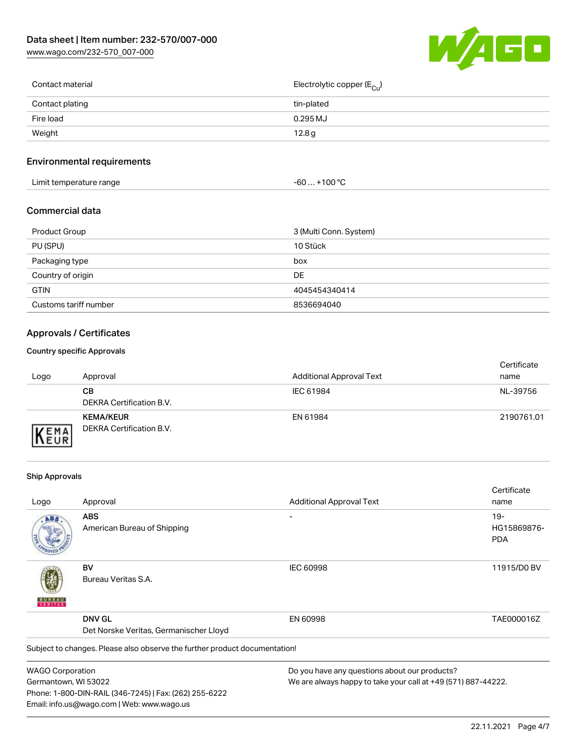[www.wago.com/232-570\\_007-000](http://www.wago.com/232-570_007-000)



| Contact material | Electrolytic copper (E <sub>Cu</sub> ) |
|------------------|----------------------------------------|
| Contact plating  | tin-plated                             |
| Fire load        | $0.295$ MJ                             |
| Weight           | 12.8g                                  |
|                  |                                        |

# Environmental requirements

| Limit temperature range<br>the contract of the contract of the contract of the contract of the contract of the contract of the contract of | +100 °C<br>-60 |
|--------------------------------------------------------------------------------------------------------------------------------------------|----------------|
|--------------------------------------------------------------------------------------------------------------------------------------------|----------------|

### Commercial data

| Product Group         | 3 (Multi Conn. System) |
|-----------------------|------------------------|
| PU (SPU)              | 10 Stück               |
| Packaging type        | box                    |
| Country of origin     | DE                     |
| <b>GTIN</b>           | 4045454340414          |
| Customs tariff number | 8536694040             |

# Approvals / Certificates

### Country specific Approvals

| Logo               | Approval                                     | <b>Additional Approval Text</b> | Certificate<br>name |
|--------------------|----------------------------------------------|---------------------------------|---------------------|
|                    | CВ<br>DEKRA Certification B.V.               | IEC 61984                       | NL-39756            |
| EMA<br><b>NEUR</b> | <b>KEMA/KEUR</b><br>DEKRA Certification B.V. | EN 61984                        | 2190761.01          |

### Ship Approvals

Email: info.us@wago.com | Web: www.wago.us

|                         |                                                                            |                                                               | Certificate |
|-------------------------|----------------------------------------------------------------------------|---------------------------------------------------------------|-------------|
| Logo                    | Approval                                                                   | <b>Additional Approval Text</b>                               | name        |
| ABS                     | <b>ABS</b>                                                                 |                                                               | $19-$       |
|                         | American Bureau of Shipping                                                |                                                               | HG15869876- |
|                         |                                                                            |                                                               | <b>PDA</b>  |
|                         | BV                                                                         | <b>IEC 60998</b>                                              | 11915/D0 BV |
|                         | Bureau Veritas S.A.                                                        |                                                               |             |
|                         | <b>DNV GL</b>                                                              | EN 60998                                                      | TAE000016Z  |
|                         | Det Norske Veritas, Germanischer Lloyd                                     |                                                               |             |
|                         | Subject to changes. Please also observe the further product documentation! |                                                               |             |
| <b>WAGO Corporation</b> |                                                                            | Do you have any questions about our products?                 |             |
| Germantown, WI 53022    |                                                                            | We are always happy to take your call at +49 (571) 887-44222. |             |
|                         | Phone: 1-800-DIN-RAIL (346-7245)   Fax: (262) 255-6222                     |                                                               |             |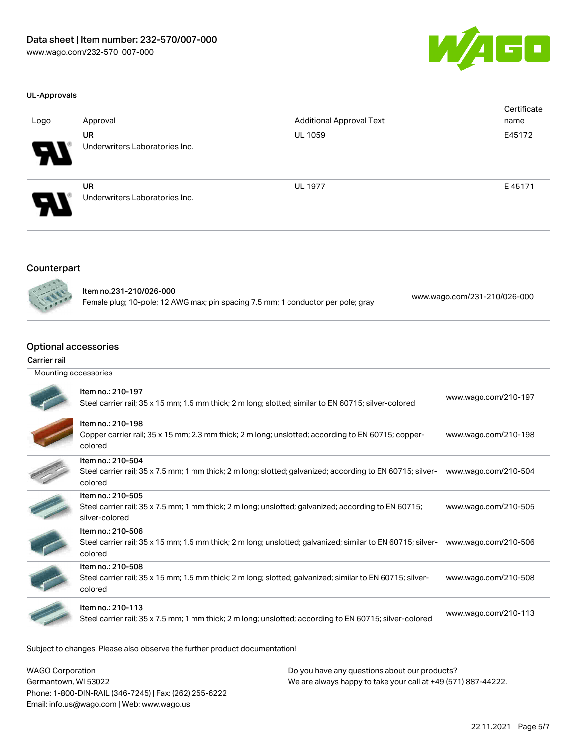

### UL-Approvals

| Logo                  | Approval                                    | <b>Additional Approval Text</b> | Certificate<br>name |
|-----------------------|---------------------------------------------|---------------------------------|---------------------|
| $\boldsymbol{\theta}$ | <b>UR</b><br>Underwriters Laboratories Inc. | <b>UL 1059</b>                  | E45172              |
| Я.                    | <b>UR</b><br>Underwriters Laboratories Inc. | <b>UL 1977</b>                  | E45171              |

### Counterpart



Item no.231-210/026-000 Female plug; 10-pole; 12 AWG max; pin spacing 7.5 mm; 1 conductor per pole; gray [www.wago.com/231-210/026-000](https://www.wago.com/231-210/026-000)

# Optional accessories

#### Carrier rail

| Mounting accessories |                                                                                                                                             |                      |  |
|----------------------|---------------------------------------------------------------------------------------------------------------------------------------------|----------------------|--|
|                      | Item no.: 210-197<br>Steel carrier rail; 35 x 15 mm; 1.5 mm thick; 2 m long; slotted; similar to EN 60715; silver-colored                   | www.wago.com/210-197 |  |
|                      | Item no.: 210-198<br>Copper carrier rail; 35 x 15 mm; 2.3 mm thick; 2 m long; unslotted; according to EN 60715; copper-<br>colored          | www.wago.com/210-198 |  |
|                      | Item no.: 210-504<br>Steel carrier rail; 35 x 7.5 mm; 1 mm thick; 2 m long; slotted; galvanized; according to EN 60715; silver-<br>colored  | www.wago.com/210-504 |  |
|                      | Item no.: 210-505<br>Steel carrier rail; 35 x 7.5 mm; 1 mm thick; 2 m long; unslotted; galvanized; according to EN 60715;<br>silver-colored | www.wago.com/210-505 |  |
|                      | Item no.: 210-506<br>Steel carrier rail; 35 x 15 mm; 1.5 mm thick; 2 m long; unslotted; galvanized; similar to EN 60715; silver-<br>colored | www.wago.com/210-506 |  |
|                      | Item no.: 210-508<br>Steel carrier rail; 35 x 15 mm; 1.5 mm thick; 2 m long; slotted; galvanized; similar to EN 60715; silver-<br>colored   | www.wago.com/210-508 |  |
|                      | Item no.: 210-113<br>Steel carrier rail; 35 x 7.5 mm; 1 mm thick; 2 m long; unslotted; according to EN 60715; silver-colored                | www.wago.com/210-113 |  |
|                      |                                                                                                                                             |                      |  |

Subject to changes. Please also observe the further product documentation!

WAGO Corporation Germantown, WI 53022 Phone: 1-800-DIN-RAIL (346-7245) | Fax: (262) 255-6222 Email: info.us@wago.com | Web: www.wago.us Do you have any questions about our products? We are always happy to take your call at +49 (571) 887-44222.

22.11.2021 Page 5/7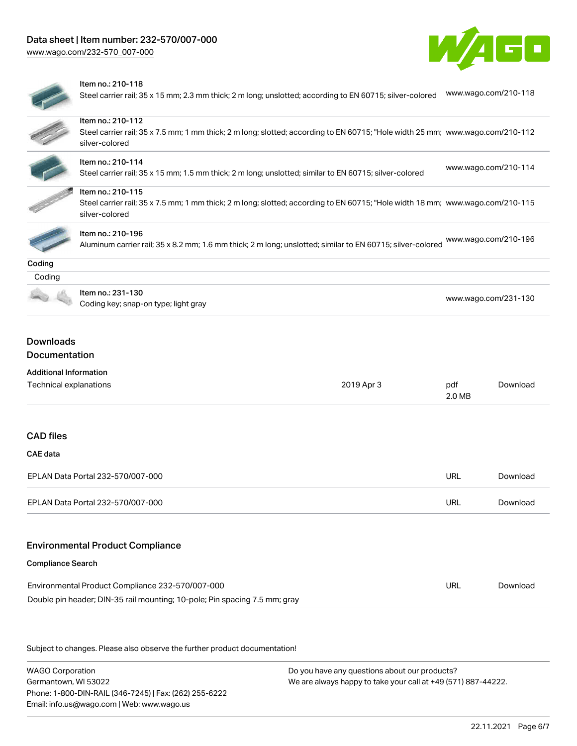[www.wago.com/232-570\\_007-000](http://www.wago.com/232-570_007-000)





### Item no.: 210-118

Steel carrier rail; 35 x 15 mm; 2.3 mm thick; 2 m long; unslotted; according to EN 60715; silver-colored [www.wago.com/210-118](http://www.wago.com/210-118)

|                                                                            | Item no.: 210-112<br>Steel carrier rail; 35 x 7.5 mm; 1 mm thick; 2 m long; slotted; according to EN 60715; "Hole width 25 mm; www.wago.com/210-112<br>silver-colored |            |                      |          |  |
|----------------------------------------------------------------------------|-----------------------------------------------------------------------------------------------------------------------------------------------------------------------|------------|----------------------|----------|--|
|                                                                            | Item no.: 210-114<br>Steel carrier rail; 35 x 15 mm; 1.5 mm thick; 2 m long; unslotted; similar to EN 60715; silver-colored                                           |            | www.wago.com/210-114 |          |  |
|                                                                            | Item no.: 210-115<br>Steel carrier rail; 35 x 7.5 mm; 1 mm thick; 2 m long; slotted; according to EN 60715; "Hole width 18 mm; www.wago.com/210-115<br>silver-colored |            |                      |          |  |
|                                                                            | Item no.: 210-196<br>Aluminum carrier rail; 35 x 8.2 mm; 1.6 mm thick; 2 m long; unslotted; similar to EN 60715; silver-colored                                       |            | www.wago.com/210-196 |          |  |
| Coding                                                                     |                                                                                                                                                                       |            |                      |          |  |
| Coding                                                                     |                                                                                                                                                                       |            |                      |          |  |
|                                                                            | Item no.: 231-130<br>Coding key; snap-on type; light gray                                                                                                             |            | www.wago.com/231-130 |          |  |
| <b>Downloads</b><br>Documentation<br><b>Additional Information</b>         |                                                                                                                                                                       |            |                      |          |  |
| Technical explanations                                                     |                                                                                                                                                                       | 2019 Apr 3 | pdf<br>2.0 MB        | Download |  |
| <b>CAD files</b>                                                           |                                                                                                                                                                       |            |                      |          |  |
| <b>CAE</b> data                                                            |                                                                                                                                                                       |            |                      |          |  |
| EPLAN Data Portal 232-570/007-000                                          |                                                                                                                                                                       |            | URL                  | Download |  |
| EPLAN Data Portal 232-570/007-000                                          |                                                                                                                                                                       |            | URL                  | Download |  |
|                                                                            | <b>Environmental Product Compliance</b>                                                                                                                               |            |                      |          |  |
| <b>Compliance Search</b>                                                   |                                                                                                                                                                       |            |                      |          |  |
|                                                                            | Environmental Product Compliance 232-570/007-000                                                                                                                      |            | URL                  | Download |  |
| Double pin header; DIN-35 rail mounting; 10-pole; Pin spacing 7.5 mm; gray |                                                                                                                                                                       |            |                      |          |  |
|                                                                            |                                                                                                                                                                       |            |                      |          |  |

Subject to changes. Please also observe the further product documentation!

WAGO Corporation Germantown, WI 53022 Phone: 1-800-DIN-RAIL (346-7245) | Fax: (262) 255-6222 Email: info.us@wago.com | Web: www.wago.us

Do you have any questions about our products? We are always happy to take your call at +49 (571) 887-44222.